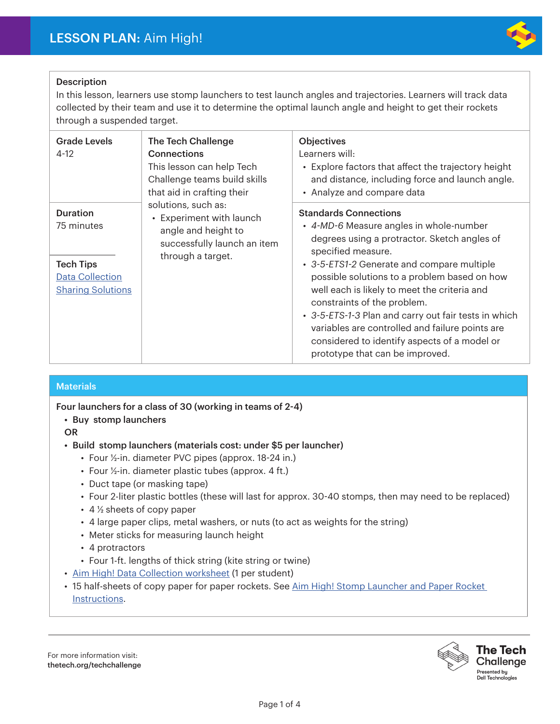

#### Description

In this lesson, learners use stomp launchers to test launch angles and trajectories. Learners will track data collected by their team and use it to determine the optimal launch angle and height to get their rockets through a suspended target.

| <b>Grade Levels</b><br>$4-12$                                                                           | <b>The Tech Challenge</b><br><b>Connections</b><br>This lesson can help Tech<br>Challenge teams build skills<br>that aid in crafting their<br>solutions, such as:<br>• Experiment with launch<br>angle and height to<br>successfully launch an item<br>through a target. | <b>Objectives</b><br>Learners will:<br>• Explore factors that affect the trajectory height<br>and distance, including force and launch angle.<br>• Analyze and compare data                                                                                                                                                                                                                                                                                                                                              |
|---------------------------------------------------------------------------------------------------------|--------------------------------------------------------------------------------------------------------------------------------------------------------------------------------------------------------------------------------------------------------------------------|--------------------------------------------------------------------------------------------------------------------------------------------------------------------------------------------------------------------------------------------------------------------------------------------------------------------------------------------------------------------------------------------------------------------------------------------------------------------------------------------------------------------------|
| <b>Duration</b><br>75 minutes<br><b>Tech Tips</b><br><b>Data Collection</b><br><b>Sharing Solutions</b> |                                                                                                                                                                                                                                                                          | <b>Standards Connections</b><br>• 4-MD-6 Measure angles in whole-number<br>degrees using a protractor. Sketch angles of<br>specified measure.<br>• 3-5-ETS1-2 Generate and compare multiple<br>possible solutions to a problem based on how<br>well each is likely to meet the criteria and<br>constraints of the problem.<br>• 3-5-ETS-1-3 Plan and carry out fair tests in which<br>variables are controlled and failure points are<br>considered to identify aspects of a model or<br>prototype that can be improved. |

#### **Materials**

Four launchers for a class of 30 (working in teams of 2-4)

• Buy stomp launchers

OR

- Build stomp launchers (materials cost: under \$5 per launcher)
	- Four ½-in. diameter PVC pipes (approx. 18-24 in.)
	- Four ½-in. diameter plastic tubes (approx. 4 ft.)
	- Duct tape (or masking tape)
	- Four 2-liter plastic bottles (these will last for approx. 30-40 stomps, then may need to be replaced)
	- 4 ½ sheets of copy paper
	- 4 large paper clips, metal washers, or nuts (to act as weights for the string)
	- Meter sticks for measuring launch height
	- 4 protractors
	- Four 1-ft. lengths of thick string (kite string or twine)
- Aim High! Data Collection worksheet (1 per student)
- 15 half-sheets of copy paper for paper rockets. See Aim High! Stomp Launcher and Paper Rocket Instructions.

For more information visit: thetech.org/techchallenge

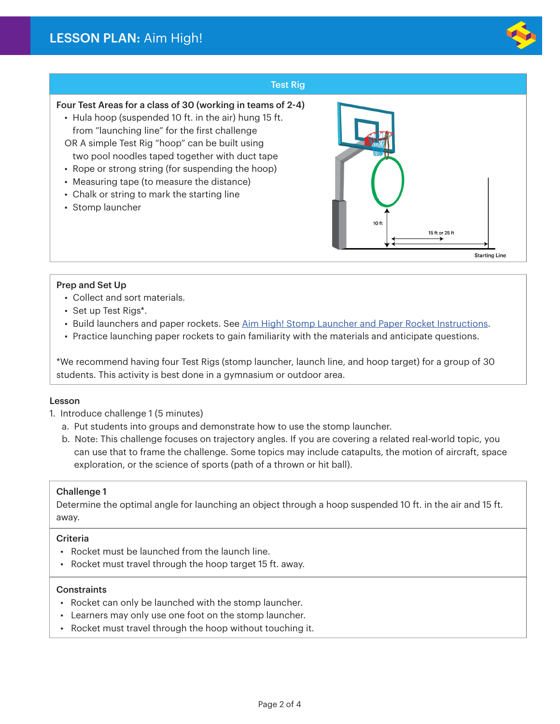

#### Test Rig

#### Four Test Areas for a class of 30 (working in teams of 2-4)

- Hula hoop (suspended 10 ft. in the air) hung 15 ft. from "launching line" for the first challenge OR A simple Test Rig "hoop" can be built using
- two pool noodles taped together with duct tape
- Rope or strong string (for suspending the hoop)
- Measuring tape (to measure the distance)
- Chalk or string to mark the starting line
- Stomp launcher



Prep and Set Up

- Collect and sort materials.
- Set up Test Rigs\*.
- Build launchers and paper rockets. See Aim High! Stomp Launcher and Paper Rocket Instructions.
- Practice launching paper rockets to gain familiarity with the materials and anticipate questions.

\*We recommend having four Test Rigs (stomp launcher, launch line, and hoop target) for a group of 30 students. This activity is best done in a gymnasium or outdoor area.

#### Lesson

- 1. Introduce challenge 1 (5 minutes)
	- a. Put students into groups and demonstrate how to use the stomp launcher.
	- b. Note: This challenge focuses on trajectory angles. If you are covering a related real-world topic, you can use that to frame the challenge. Some topics may include catapults, the motion of aircraft, space exploration, or the science of sports (path of a thrown or hit ball).

#### Challenge 1

Determine the optimal angle for launching an object through a hoop suspended 10 ft. in the air and 15 ft. away.

#### Criteria

- Rocket must be launched from the launch line.
- Rocket must travel through the hoop target 15 ft. away.

#### **Constraints**

- Rocket can only be launched with the stomp launcher.
- Learners may only use one foot on the stomp launcher.
- Rocket must travel through the hoop without touching it.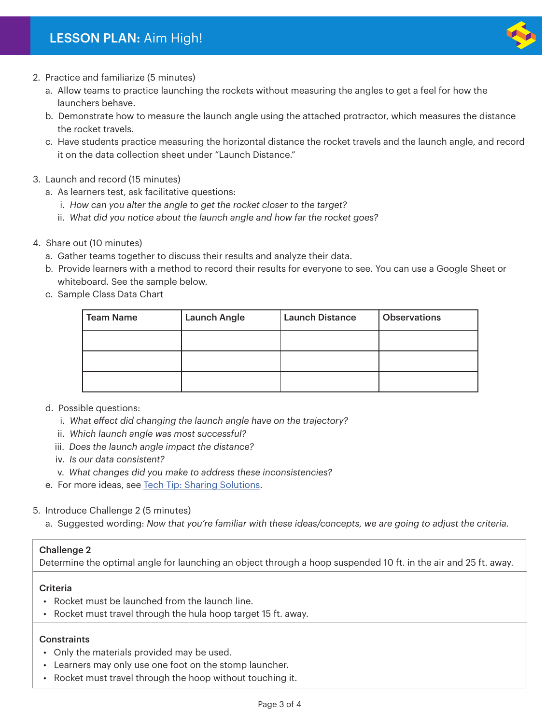### LESSON PLAN: Aim High!



- 2. Practice and familiarize (5 minutes)
	- a. Allow teams to practice launching the rockets without measuring the angles to get a feel for how the launchers behave.
	- b. Demonstrate how to measure the launch angle using the attached protractor, which measures the distance the rocket travels.
	- c. Have students practice measuring the horizontal distance the rocket travels and the launch angle, and record it on the data collection sheet under "Launch Distance."

#### 3. Launch and record (15 minutes)

- a. As learners test, ask facilitative questions:
	- i. *How can you alter the angle to get the rocket closer to the target?*
	- ii. *What did you notice about the launch angle and how far the rocket goes?*
- 4. Share out (10 minutes)
	- a. Gather teams together to discuss their results and analyze their data.
	- b. Provide learners with a method to record their results for everyone to see. You can use a Google Sheet or whiteboard. See the sample below.
	- c. Sample Class Data Chart

| <b>Team Name</b> | <b>Launch Angle</b> | <b>Launch Distance</b> | <b>Observations</b> |
|------------------|---------------------|------------------------|---------------------|
|                  |                     |                        |                     |
|                  |                     |                        |                     |
|                  |                     |                        |                     |

#### d. Possible questions:

- i. *What effect did changing the launch angle have on the trajectory?*
- ii. *Which launch angle was most successful?*
- iii. *Does the launch angle impact the distance?*
- iv. *Is our data consistent?*
- v. *What changes did you make to address these inconsistencies?*
- e. For more ideas, see Tech Tip: Sharing Solutions.

#### 5. Introduce Challenge 2 (5 minutes)

a. Suggested wording: *Now that you're familiar with these ideas/concepts, we are going to adjust the criteria.*

#### Challenge 2

Determine the optimal angle for launching an object through a hoop suspended 10 ft. in the air and 25 ft. away.

#### Criteria

- Rocket must be launched from the launch line.
- Rocket must travel through the hula hoop target 15 ft. away.

#### **Constraints**

- Only the materials provided may be used.
- Learners may only use one foot on the stomp launcher.
- Rocket must travel through the hoop without touching it.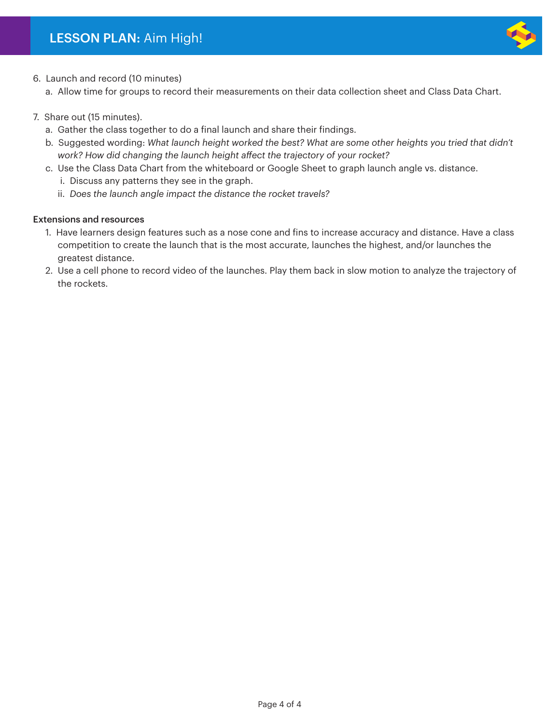

- 6. Launch and record (10 minutes)
	- a. Allow time for groups to record their measurements on their data collection sheet and Class Data Chart.
- 7. Share out (15 minutes).
	- a. Gather the class together to do a final launch and share their findings.
	- b. Suggested wording: *What launch height worked the best? What are some other heights you tried that didn't work? How did changing the launch height affect the trajectory of your rocket?*
	- c. Use the Class Data Chart from the whiteboard or Google Sheet to graph launch angle vs. distance.
		- i. Discuss any patterns they see in the graph.
		- ii. *Does the launch angle impact the distance the rocket travels?*

#### Extensions and resources

- 1. Have learners design features such as a nose cone and fins to increase accuracy and distance. Have a class competition to create the launch that is the most accurate, launches the highest, and/or launches the greatest distance.
- 2. Use a cell phone to record video of the launches. Play them back in slow motion to analyze the trajectory of the rockets.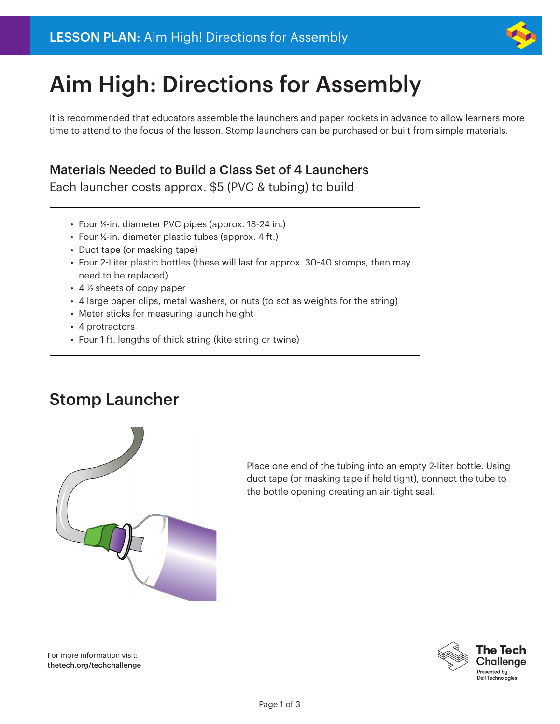

# Aim High: Directions for Assembly

It is recommended that educators assemble the launchers and paper rockets in advance to allow learners more time to attend to the focus of the lesson. Stomp launchers can be purchased or built from simple materials.

## Materials Needed to Build a Class Set of 4 Launchers

Each launcher costs approx. \$5 (PVC & tubing) to build

- Four ½-in. diameter PVC pipes (approx. 18-24 in.)
- Four ½-in. diameter plastic tubes (approx. 4 ft.)
- Duct tape (or masking tape)
- Four 2-Liter plastic bottles (these will last for approx. 30-40 stomps, then may need to be replaced)
- 4 ½ sheets of copy paper
- 4 large paper clips, metal washers, or nuts (to act as weights for the string)
- Meter sticks for measuring launch height
- 4 protractors
- Four 1 ft. lengths of thick string (kite string or twine)

# Stomp Launcher



Place one end of the tubing into an empty 2-liter bottle. Using duct tape (or masking tape if held tight), connect the tube to the bottle opening creating an air-tight seal.

For more information visit: thetech.org/techchallenge

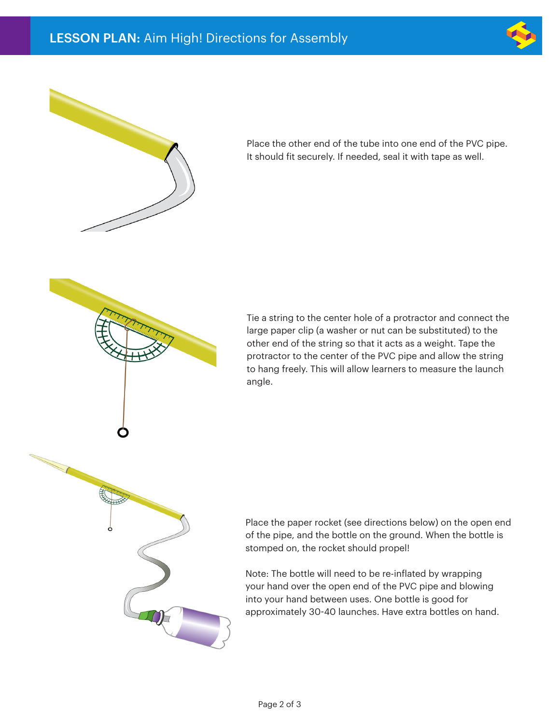



Place the other end of the tube into one end of the PVC pipe. It should fit securely. If needed, seal it with tape as well.

Tie a string to the center hole of a protractor and connect the large paper clip (a washer or nut can be substituted) to the other end of the string so that it acts as a weight. Tape the protractor to the center of the PVC pipe and allow the string to hang freely. This will allow learners to measure the launch angle.



Place the paper rocket (see directions below) on the open end of the pipe, and the bottle on the ground. When the bottle is stomped on, the rocket should propel!

Note: The bottle will need to be re-inflated by wrapping your hand over the open end of the PVC pipe and blowing into your hand between uses. One bottle is good for approximately 30-40 launches. Have extra bottles on hand.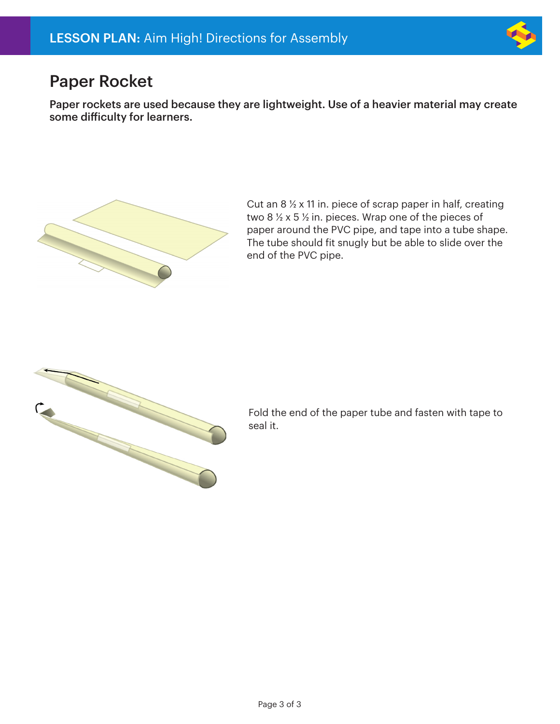

# Paper Rocket

Paper rockets are used because they are lightweight. Use of a heavier material may create some difficulty for learners.



Cut an 8 ½ x 11 in. piece of scrap paper in half, creating two 8 ½ x 5 ½ in. pieces. Wrap one of the pieces of paper around the PVC pipe, and tape into a tube shape. The tube should fit snugly but be able to slide over the end of the PVC pipe.



Fold the end of the paper tube and fasten with tape to seal it.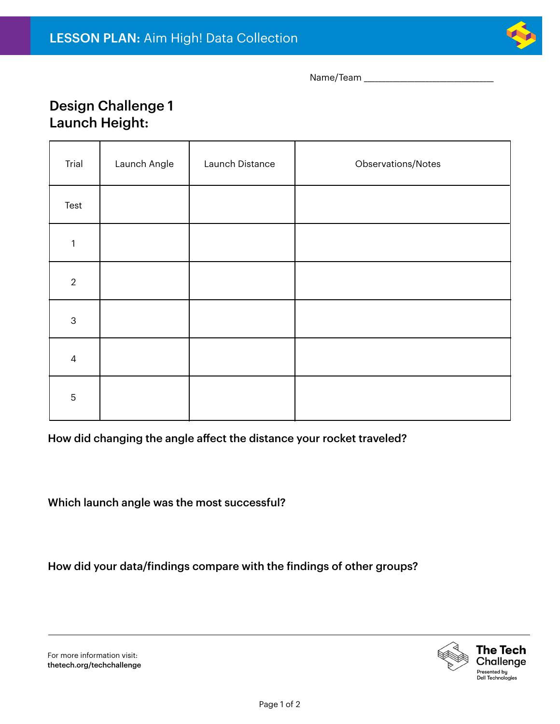

Name/Team \_\_\_\_\_\_\_\_\_\_\_\_\_\_\_\_\_\_\_\_\_\_\_\_\_\_\_\_\_\_\_\_\_\_\_\_

### Design Challenge 1 Launch Height:

| Trial          | Launch Angle | Launch Distance | Observations/Notes |
|----------------|--------------|-----------------|--------------------|
| Test           |              |                 |                    |
| 1              |              |                 |                    |
| $\overline{2}$ |              |                 |                    |
| $\mathsf 3$    |              |                 |                    |
| $\overline{4}$ |              |                 |                    |
| $\mathbf 5$    |              |                 |                    |

How did changing the angle affect the distance your rocket traveled?

Which launch angle was the most successful?

How did your data/findings compare with the findings of other groups?